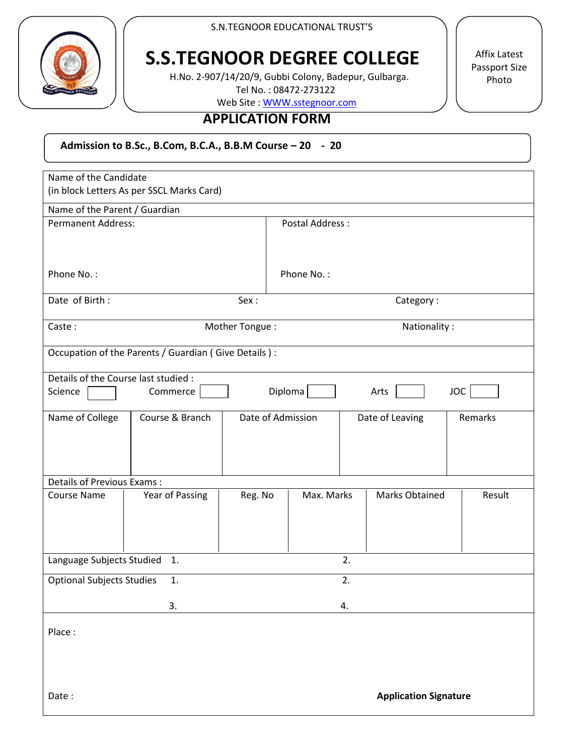

S.N.TEGNOOR EDUCATIONAL TRUST'S

# **S.S.TEGNOOR DEGREE COLLEGE**

 H.No. 2-907/14/20/9, Gubbi Colony, Badepur, Gulbarga. Tel No. : 08472-273122

Web Site [: WWW.sstegnoor.com](http://www.sstegnoor.com/)

#### **APPLICATION FORM**

 **Admission to B.Sc., B.Com, B.C.A., B.B.M Course – 20 - 20**

| Name of the Candidate<br>(in block Letters As per SSCL Marks Card) |                 |                   |                 |                |                 |                       |         |        |
|--------------------------------------------------------------------|-----------------|-------------------|-----------------|----------------|-----------------|-----------------------|---------|--------|
| Name of the Parent / Guardian                                      |                 |                   |                 |                |                 |                       |         |        |
| <b>Permanent Address:</b>                                          |                 |                   | Postal Address: |                |                 |                       |         |        |
| Phone No.:                                                         |                 |                   |                 | Phone No.:     |                 |                       |         |        |
| Date of Birth:<br>Sex:                                             |                 |                   | Category:       |                |                 |                       |         |        |
|                                                                    |                 |                   |                 |                |                 |                       |         |        |
| Caste:                                                             | Mother Tongue:  | Nationality:      |                 |                |                 |                       |         |        |
| Occupation of the Parents / Guardian (Give Details):               |                 |                   |                 |                |                 |                       |         |        |
| Details of the Course last studied :                               |                 |                   |                 |                |                 |                       |         |        |
| Science                                                            | Commerce        |                   |                 | <b>Diploma</b> |                 | Arts                  |         | JOC    |
| Name of College                                                    | Course & Branch | Date of Admission |                 |                | Date of Leaving |                       | Remarks |        |
|                                                                    |                 |                   |                 |                |                 |                       |         |        |
| <b>Details of Previous Exams:</b>                                  |                 |                   |                 |                |                 |                       |         |        |
| <b>Course Name</b>                                                 | Year of Passing | Reg. No           |                 | Max. Marks     |                 | <b>Marks Obtained</b> |         | Result |
| Language Subjects Studied<br>1.                                    |                 |                   |                 |                | 2.              |                       |         |        |
| <b>Optional Subjects Studies</b><br>1.                             |                 |                   | 2.              |                |                 |                       |         |        |
| 3.                                                                 |                 |                   | 4.              |                |                 |                       |         |        |
| Place:                                                             |                 |                   |                 |                |                 |                       |         |        |
| <b>Application Signature</b><br>Date:                              |                 |                   |                 |                |                 |                       |         |        |

Affix Latest Passport Size Photo